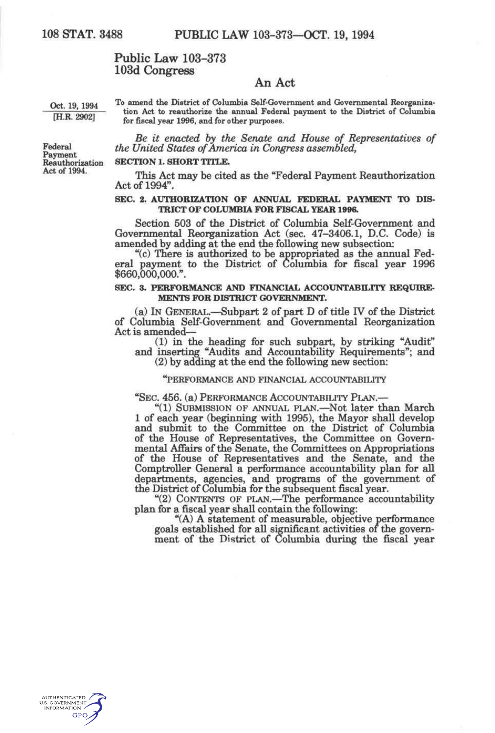## **Public Law 103-373 103d Congress**

# **An Act**

Oct. 19, 1994 <sup>To</sup> amend the District of Columbia Self-Government and Governmental Reorganization Act to reauthorize the annual Federal payment to the District of Columbia [H.R. 2902] for fiscal year 1996, and for other purposes.

*Be it enacted by the Senate and House of Representatives of*  Federal *the United States of America in Congress assembled,* 

### **SECTION 1. SHORT TITLE.**

This Act may be cited as the "Federal Payment Reauthorization" Act of 1994".

### **SEC. 2. AUTHORIZATION OF ANNUAL FEDERAL PAYMENT TO DIS-TRICT OF COLUMBIA FOR FISCAL YEAR 1996.**

Section 503 of the District of Columbia Self-Govemment and Governmental Reorganization Act (sec. 47-3406.1, D.C. Code) is amended by adding at the end the following new subsection:

"(c) There is authorized to be appropriated as the annual Federal payment to the District of Columbia for fiscal year 1996 \$660,000,000.".

### **SEC. 3. PERFORMANCE AND FINANCIAL ACCOUNTABILITY REQUIRE-MENTS FOR DISTRICT GOVERNMENT.**

(a) IN GENERAL.—Subpart 2 of part D of title IV of the District of Columbia Self-Govemment and Governmental Reorganization Act is amended—

(1) in the heading for such subpart, by striking "Audit" and inserting "Audits and Accountability Requirements"; and (2) by adding at the end the following new section:

#### "PERFORMANCE AND FINANCIAL ACCOUNTABILITY

"SEC 456. (a) PERFORMANCE ACCOUNTABILITY PLAN.—

"(1) SUBMISSION OF ANNUAL PLAN.—Not later than March 1 of each year (beginning with 1995), the Mayor shall develop and submit to the Committee on the District of Columbia of the House of Representatives, the Committee on Governmental Affairs of the Senate, the Committees on Appropriations of the House of Representatives and the Senate, and the Comptroller General a performance accountability plan for all departments, agencies, and programs of the government of the District of Columbia for the subsequent fiscal year.

"(2) CONTENTS OF PLAN.—^The performance accountability plan for a fiscal year shall contain the following:

"(A) A statement of measurable, objective performance goals established for all significant activities of the government of the District of Colmnbia during the fiscal year



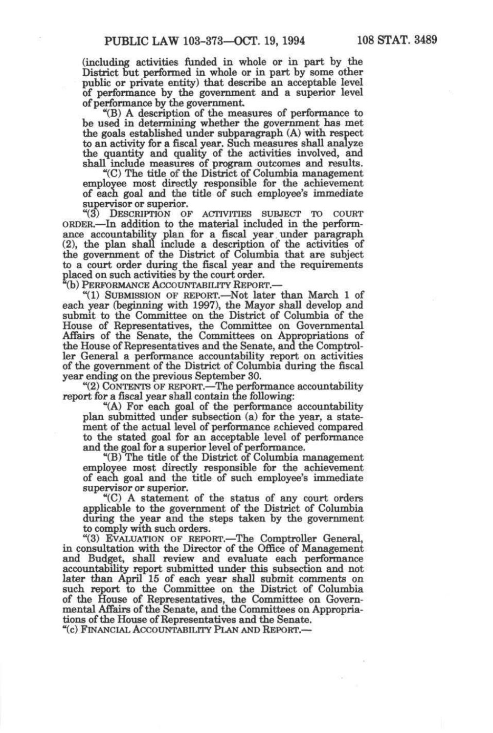(including activities funded in whole or in part by the District but performed in whole or in part by some other public or private entity) that describe an acceptable level of performance by the govermnent and a superior level of performance by the government

"(B) A description of the measures of performance to be used in determining whether the government has met the goals established under subparagraph (A) with respect to an activity for a fiscal year. Such measures shall analyze the quantity and quality of the activities involved, and shall include measures of program outcomes and results.

"(C) The titie of the District of Columbia management employee most directiy responsible for the achievement of each goal and the titie of such employee's immediate supervisor or superior.

"(3) DESCRIPTION OF ACTIVITIES SUBJECT TO COURT ORDER.—In addition to the material included in the performance accountability plan for a fiscal year under paragraph (2), the plan shall include a description of the activities of the government of the District of Columbia that are subject to a court order during the fiscal year and the requirements placed on such activities by the court order.

(b) PERFORMANCE ACCOUNTABILITY REPORT.—

"(1) SUBMISSION OF REPORT.—Not later than March 1 of each year (beginning with 1997), the Mayor shall develop and submit to the Committee on the District of Columbia of the House of Representatives, the Committee on Governmental Affairs of the Senate, the Committees on Appropriations of the House of Representatives and the Senate, and the Comptroller General a performance accountability report on activities of the government of the District of Columbia during the fiscal year ending on the previous September 30.

"(2) CONTENTS OF REPORT.—The performance accountability report for a fiscal year shaU contain the following:

"(A) For each goal of the performance accountability plan submitted under subsection (a) for the year, a statement of the actual level of performance achieved compared to the stated goal for an acceptable level of performance and the goal for a superior level of performance.

"(B) The titie of^the District of Columbia management employee most directiy responsible for the achievement of each goal and the title of such employee's immediate supervisor or superior.

"(C) A statement of the status of any court orders applicable to the government of the District of Columbia during the year and the steps taken by the government to comply with such orders.

"(3) EVALUATION OF REPORT.—The Comptroller General, in consultation with the Director of the Office of Management and Budget, shall review and evaluate each performance accountability report submitted under this subsection and not later than April 15 of each year shall submit comments on such report to the Committee on the District of Columbia of the House of Representatives, the Committee on Governmental Affairs of the Senate, and the Committees on Appropriations of the House of Representatives and the Senate.

"(c) FINANCIAL ACCOUNTABILITY PLAN AND REPORT.—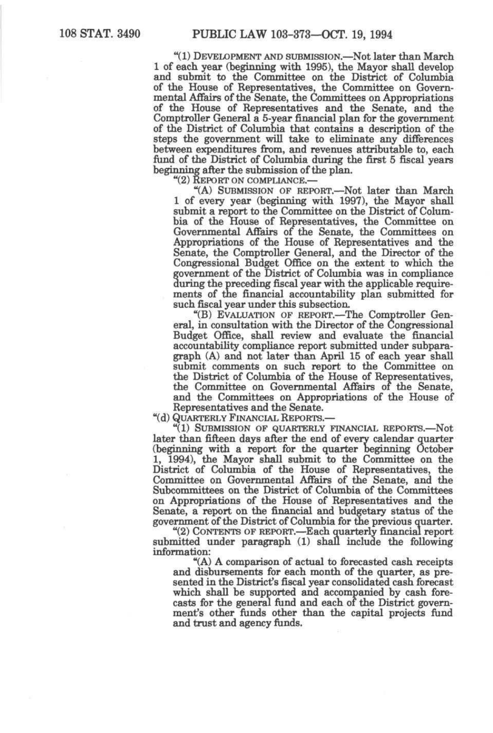"(1) DEVELOPMENT AND SUBMISSION.—Not later than March 1 of each year (beginning with 1995), the Mayor shall develop and submit to the Committee on the District of Columbia of the House of Representatives, the Committee on Governmental Affairs of the Senate, the Committees on Appropriations of the House of Representatives and the Senate, and the Comptroller General a 5-year financial plan for the government of the District of Columbia that contains a description of the steps the government wiU take to eliminate any differences between expenditures from, and revenues attributable to, each fund of the District of Colmnbia during the first 5 fiscal years beginning after the submission of the plan.

"(2) REPORT ON COMPLIANCE.—

"(A) SUBMISSION OF REPORT.—Not later than March 1 of every year (beginning with 1997), the Mayor shall submit a report to the Committee on the District of Columbia of the House of Representatives, the Committee on Governmental Affairs of the Senate, the Committees on Appropriations of the House of Representatives and the Senate, the Comptroller General, and the Director of the Congressional Budget Office on the extent to which the government of the District of Columbia was in compliance during the preceding fiscal year with the applicable requirements of the financial accountability plan submitted for such fiscal year under this subsection.

"(B) EVALUATION OF REPORT.—The Comptroller General, in consultation with the Director of the Congressional Budget Office, shall review and evaluate the financial accountability compliance report submitted under subparagraph (A) and not later than April 15 of each year shall submit comments on such report to the Committee on the District of Colmnbia of the House of Representatives, the Committee on Governmental Affairs of the Senate, and the Committees on Appropriations of the House of Representatives and the Senate.

"(d) QUARTERLY FINANCIAL REPORTS.—

"(1) SUBMISSION OF QUARTERLY FINANCIAL REPORTS.-Not later than fifteen days after the end of every calendar quarter (beginning with a report for the quarter Deginning October 1, 1994), the Mayor shall submit to the Committee on the District of Columbia of the House of Representatives, the Committee on Governmental Affairs of the Senate, and the Subcommittees on the District of Columbia of the Committees on Appropriations of the House of Representatives and the Senate, a report on the financial and budgetary status of the government of the District of Columbia for the previous quarter.

"(2) CONTENTS OF REPORT.—Each quarterly financial report submitted under paragraph (1) shall include the following information:

"(A) A comparison of actual to forecasted cash receipts and disbursements for each month of the quarter, as presented in the District's fiscal year consolidated cash forecast which shall be supported and accompanied by cash forecasts for the general fund and each of the District government's other funds other than the capital projects fund and trust and agency funds.